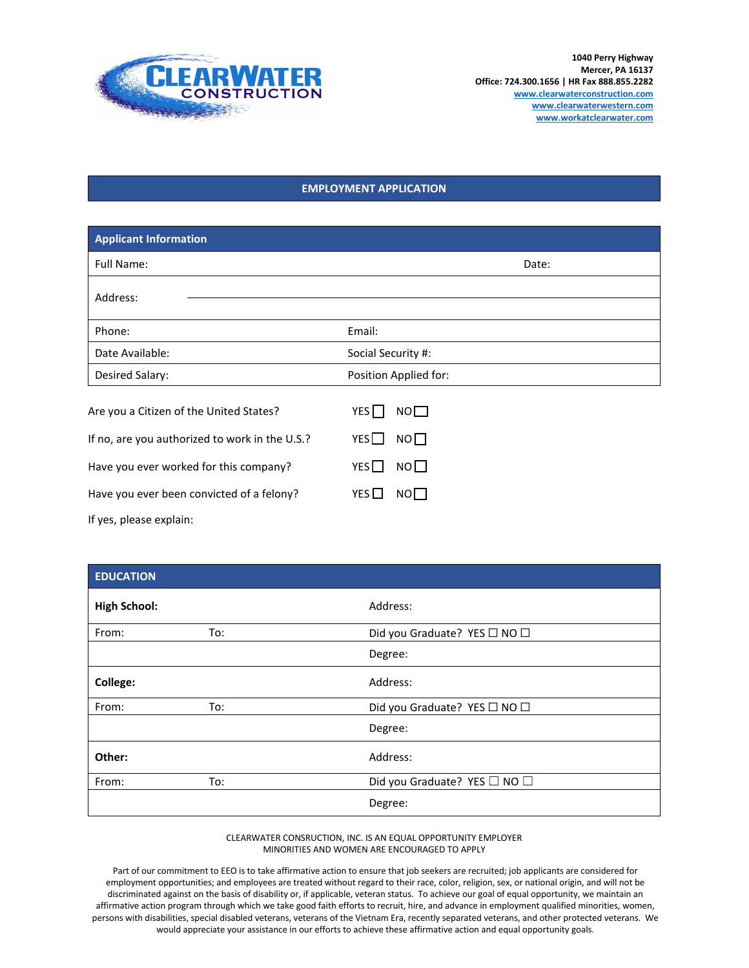

## **EMPLOYMENT APPLICATION**

| <b>Applicant Information</b>                   |                                     |  |  |  |
|------------------------------------------------|-------------------------------------|--|--|--|
| Full Name:                                     | Date:                               |  |  |  |
| Address:                                       |                                     |  |  |  |
| Phone:                                         | Email:                              |  |  |  |
| Date Available:                                | Social Security #:                  |  |  |  |
| Desired Salary:                                | Position Applied for:               |  |  |  |
| Are you a Citizen of the United States?        | YES <sup>I</sup><br>NO <sub>1</sub> |  |  |  |
| If no, are you authorized to work in the U.S.? | YES<br>NO                           |  |  |  |
| Have you ever worked for this company?         | NO<br>YES                           |  |  |  |
| Have you ever been convicted of a felony?      | YES $\Box$<br>$NO \Box$             |  |  |  |
| If yes, please explain:                        |                                     |  |  |  |

| <b>EDUCATION</b>    |     |                              |
|---------------------|-----|------------------------------|
| <b>High School:</b> |     | Address:                     |
| From:               | To: | Did you Graduate? YES □ NO □ |
|                     |     | Degree:                      |
| College:            |     | Address:                     |
| From:               | To: | Did you Graduate? YES □ NO □ |
|                     |     | Degree:                      |
| Other:              |     | Address:                     |
| From:               | To: | Did you Graduate? YES □ NO □ |
|                     |     | Degree:                      |

CLEARWATER CONSRUCTION, INC. IS AN EQUAL OPPORTUNITY EMPLOYER MINORITIES AND WOMEN ARE ENCOURAGED TO APPLY

Part of our commitment to EEO is to take affirmative action to ensure that job seekers are recruited; job applicants are considered for employment opportunities; and employees are treated without regard to their race, color, religion, sex, or national origin, and will not be discriminated against on the basis of disability or, if applicable, veteran status. To achieve our goal of equal opportunity, we maintain an affirmative action program through which we take good faith efforts to recruit, hire, and advance in employment qualified minorities, women, persons with disabilities, special disabled veterans, veterans of the Vietnam Era, recently separated veterans, and other protected veterans. We would appreciate your assistance in our efforts to achieve these affirmative action and equal opportunity goals.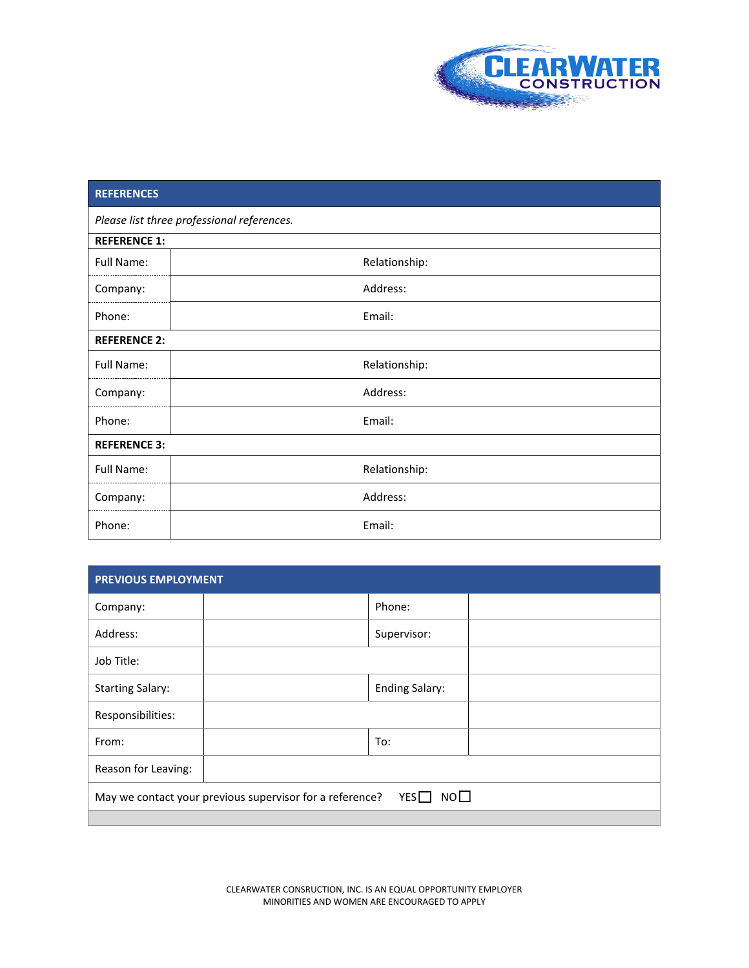

## **REFERENCES** *Please list three professional references.* **REFERENCE 1:** Full Name:  $\vert$  **Relationship:** Company: Address: Phone:  $\qquad \qquad$  Email: **REFERENCE 2:** Full Name:  $\vert$  **Relationship:** Company: Address: Phone: and the contract of the contract of the Email: **REFERENCE 3:** Full Name:  $\vert$  **Relationship:** Company: Address: Phone:  $\qquad$  Email:

| <b>PREVIOUS EMPLOYMENT</b>                                                     |  |                       |  |  |
|--------------------------------------------------------------------------------|--|-----------------------|--|--|
| Company:                                                                       |  | Phone:                |  |  |
| Address:                                                                       |  | Supervisor:           |  |  |
| Job Title:                                                                     |  |                       |  |  |
| <b>Starting Salary:</b>                                                        |  | <b>Ending Salary:</b> |  |  |
| Responsibilities:                                                              |  |                       |  |  |
| From:                                                                          |  | To:                   |  |  |
| Reason for Leaving:                                                            |  |                       |  |  |
| $YES$ NO $\square$<br>May we contact your previous supervisor for a reference? |  |                       |  |  |
|                                                                                |  |                       |  |  |

CLEARWATER CONSRUCTION, INC. IS AN EQUAL OPPORTUNITY EMPLOYER MINORITIES AND WOMEN ARE ENCOURAGED TO APPLY